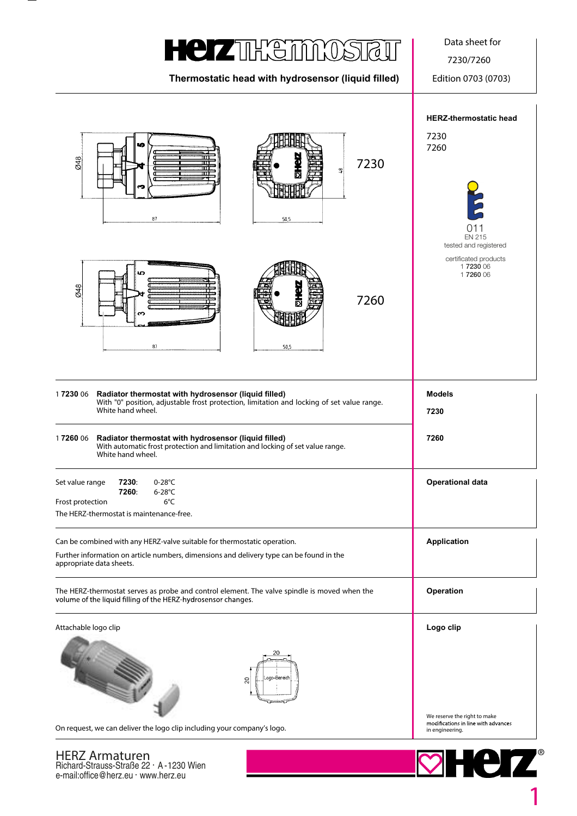## **HEIZTHETMOS**

**Thermostatic head with hydrosensor (liquid filled)** Edition 0703 (0703)

Data sheet for

7230/7260



e-mail:office@herz.eu · www.herz.eu

**1**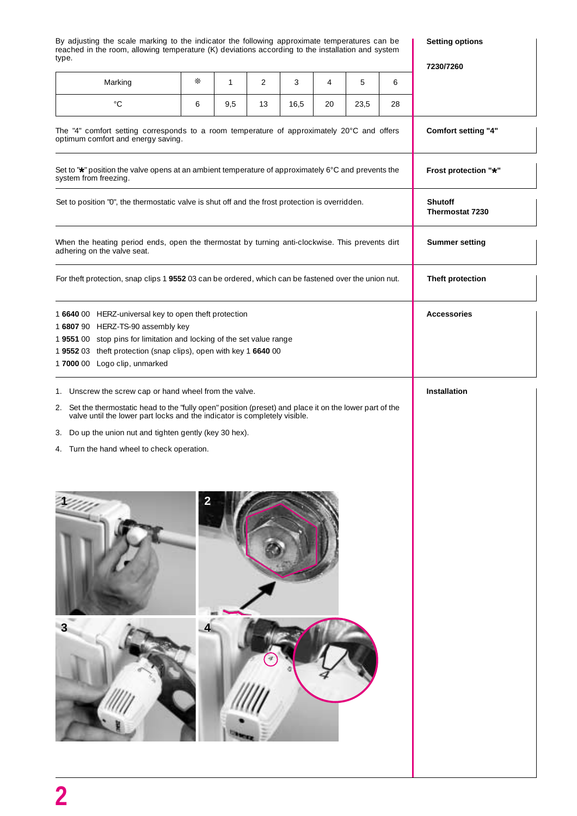By adjusting the scale marking to the indicator the following approximate temperatures can be reached in the room, allowing temperature (K) deviations according to the installation and system type.

**Setting options**

| ☀<br>5<br>Marking<br>$\mathbf{1}$<br>2<br>3<br>4<br>6<br>$^{\circ}C$<br>9,5<br>13<br>16,5<br>23,5<br>28<br>6<br>20<br>Comfort setting "4"<br>Frost protection "*"<br><b>Shutoff</b><br>Thermostat 7230<br><b>Summer setting</b><br>Theft protection<br><b>Accessories</b><br>1 6807 90 HERZ-TS-90 assembly key<br>1 9551 00 stop pins for limitation and locking of the set value range<br>1955203 theft protection (snap clips), open with key 1664000<br>1 7000 00 Logo clip, unmarked<br>1. Unscrew the screw cap or hand wheel from the valve.<br>Installation<br>Set the thermostatic head to the "fully open" position (preset) and place it on the lower part of the valve until the lower part locks and the indicator is completely visible.<br>2.<br>Do up the union nut and tighten gently (key 30 hex).<br>3.<br>4. Turn the hand wheel to check operation.<br>$\overline{\mathbf{2}}$<br>3 | iypu.                                                                                                                            |  |  |  |  |  |  |  | 7230/7260 |
|---------------------------------------------------------------------------------------------------------------------------------------------------------------------------------------------------------------------------------------------------------------------------------------------------------------------------------------------------------------------------------------------------------------------------------------------------------------------------------------------------------------------------------------------------------------------------------------------------------------------------------------------------------------------------------------------------------------------------------------------------------------------------------------------------------------------------------------------------------------------------------------------------------|----------------------------------------------------------------------------------------------------------------------------------|--|--|--|--|--|--|--|-----------|
|                                                                                                                                                                                                                                                                                                                                                                                                                                                                                                                                                                                                                                                                                                                                                                                                                                                                                                         |                                                                                                                                  |  |  |  |  |  |  |  |           |
|                                                                                                                                                                                                                                                                                                                                                                                                                                                                                                                                                                                                                                                                                                                                                                                                                                                                                                         |                                                                                                                                  |  |  |  |  |  |  |  |           |
|                                                                                                                                                                                                                                                                                                                                                                                                                                                                                                                                                                                                                                                                                                                                                                                                                                                                                                         | The "4" comfort setting corresponds to a room temperature of approximately 20°C and offers<br>optimum comfort and energy saving. |  |  |  |  |  |  |  |           |
|                                                                                                                                                                                                                                                                                                                                                                                                                                                                                                                                                                                                                                                                                                                                                                                                                                                                                                         | Set to "*" position the valve opens at an ambient temperature of approximately 6°C and prevents the<br>system from freezing.     |  |  |  |  |  |  |  |           |
|                                                                                                                                                                                                                                                                                                                                                                                                                                                                                                                                                                                                                                                                                                                                                                                                                                                                                                         | Set to position "0", the thermostatic valve is shut off and the frost protection is overridden.                                  |  |  |  |  |  |  |  |           |
|                                                                                                                                                                                                                                                                                                                                                                                                                                                                                                                                                                                                                                                                                                                                                                                                                                                                                                         | When the heating period ends, open the thermostat by turning anti-clockwise. This prevents dirt<br>adhering on the valve seat.   |  |  |  |  |  |  |  |           |
|                                                                                                                                                                                                                                                                                                                                                                                                                                                                                                                                                                                                                                                                                                                                                                                                                                                                                                         | For theft protection, snap clips 1 9552 03 can be ordered, which can be fastened over the union nut.                             |  |  |  |  |  |  |  |           |
|                                                                                                                                                                                                                                                                                                                                                                                                                                                                                                                                                                                                                                                                                                                                                                                                                                                                                                         | 1 6640 00 HERZ-universal key to open theft protection                                                                            |  |  |  |  |  |  |  |           |
|                                                                                                                                                                                                                                                                                                                                                                                                                                                                                                                                                                                                                                                                                                                                                                                                                                                                                                         |                                                                                                                                  |  |  |  |  |  |  |  |           |
|                                                                                                                                                                                                                                                                                                                                                                                                                                                                                                                                                                                                                                                                                                                                                                                                                                                                                                         |                                                                                                                                  |  |  |  |  |  |  |  |           |
|                                                                                                                                                                                                                                                                                                                                                                                                                                                                                                                                                                                                                                                                                                                                                                                                                                                                                                         |                                                                                                                                  |  |  |  |  |  |  |  |           |
|                                                                                                                                                                                                                                                                                                                                                                                                                                                                                                                                                                                                                                                                                                                                                                                                                                                                                                         |                                                                                                                                  |  |  |  |  |  |  |  |           |
|                                                                                                                                                                                                                                                                                                                                                                                                                                                                                                                                                                                                                                                                                                                                                                                                                                                                                                         |                                                                                                                                  |  |  |  |  |  |  |  |           |
|                                                                                                                                                                                                                                                                                                                                                                                                                                                                                                                                                                                                                                                                                                                                                                                                                                                                                                         |                                                                                                                                  |  |  |  |  |  |  |  |           |
|                                                                                                                                                                                                                                                                                                                                                                                                                                                                                                                                                                                                                                                                                                                                                                                                                                                                                                         |                                                                                                                                  |  |  |  |  |  |  |  |           |